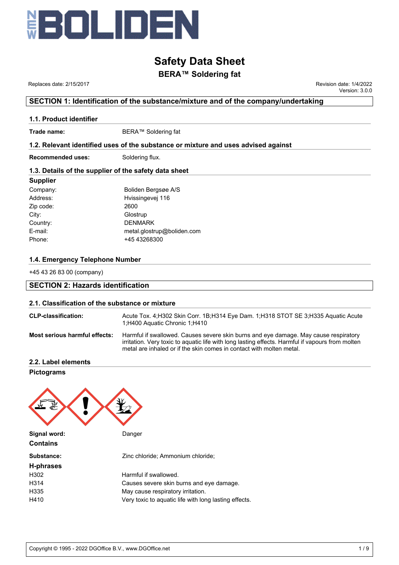

# **BERA™ Soldering fat**

 Replaces date: 2/15/2017 Revision date: 1/4/2022 Version: 3.0.0

# **SECTION 1: Identification of the substance/mixture and of the company/undertaking**

### **1.1. Product identifier**

**Trade name:** BERA™ Soldering fat

## **1.2. Relevant identified uses of the substance or mixture and uses advised against**

**Recommended uses:** Soldering flux.

## **1.3. Details of the supplier of the safety data sheet**

#### **Supplier**

#### **1.4. Emergency Telephone Number**

+45 43 26 83 00 (company)

# **SECTION 2: Hazards identification**

#### **2.1. Classification of the substance or mixture**

| <b>CLP-classification:</b>    | Acute Tox. 4: H302 Skin Corr. 1B: H314 Eye Dam. 1: H318 STOT SE 3: H335 Aguatic Acute<br>1:H400 Aquatic Chronic 1:H410                                                                                                                                           |
|-------------------------------|------------------------------------------------------------------------------------------------------------------------------------------------------------------------------------------------------------------------------------------------------------------|
| Most serious harmful effects: | Harmful if swallowed. Causes severe skin burns and eye damage. May cause respiratory<br>irritation. Very toxic to aquatic life with long lasting effects. Harmful if vapours from molten<br>metal are inhaled or if the skin comes in contact with molten metal. |

**2.2. Label elements**

**Pictograms**

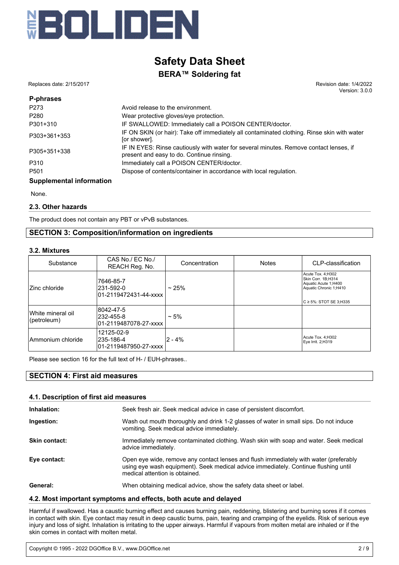

Replaces date: 2/15/2017 Revision date: 1/4/2022

Version: 3.0.0

| P-phrases                              |                                                                                                                                     |
|----------------------------------------|-------------------------------------------------------------------------------------------------------------------------------------|
| P273                                   | Avoid release to the environment.                                                                                                   |
| P280                                   | Wear protective gloves/eye protection.                                                                                              |
| P301+310                               | IF SWALLOWED: Immediately call a POISON CENTER/doctor.                                                                              |
| P303+361+353                           | IF ON SKIN (or hair): Take off immediately all contaminated clothing. Rinse skin with water<br>[or shower].                         |
| P305+351+338                           | IF IN EYES: Rinse cautiously with water for several minutes. Remove contact lenses, if<br>present and easy to do. Continue rinsing. |
| P310                                   | Immediately call a POISON CENTER/doctor.                                                                                            |
| P <sub>501</sub>                       | Dispose of contents/container in accordance with local regulation.                                                                  |
| Arrest contracted to form of the state |                                                                                                                                     |

#### **Supplemental information**

None.

#### **2.3. Other hazards**

The product does not contain any PBT or vPvB substances.

# **SECTION 3: Composition/information on ingredients**

#### **3.2. Mixtures**

| Substance                        | CAS No./ EC No./<br>REACH Reg. No.                | Concentration | <b>Notes</b> | CLP-classification                                                                                                                              |
|----------------------------------|---------------------------------------------------|---------------|--------------|-------------------------------------------------------------------------------------------------------------------------------------------------|
| Zinc chloride                    | 7646-85-7<br>231-592-0                            | ~25%          |              | Acute Tox. 4;H302<br>Skin Corr. 1B;H314<br>Aquatic Acute 1;H400<br>Aquatic Chronic 1;H410<br>$\mathsf{IC}\,\mathsf{\geq}\,5\%$ : STOT SE 3:H335 |
| White mineral oil<br>(petroleum) | 8042-47-5<br>232-455-8<br>01-2119487078-27-xxxx   | $~1.5\%$      |              |                                                                                                                                                 |
| Ammonium chloride                | 12125-02-9<br>l235-186-4<br>01-2119487950-27-xxxx | $2 - 4%$      |              | Acute Tox. 4;H302<br>Eye Irrit. 2;H319                                                                                                          |

Please see section 16 for the full text of H- / EUH-phrases..

# **SECTION 4: First aid measures**

#### **4.1. Description of first aid measures**

| Inhalation:          | Seek fresh air. Seek medical advice in case of persistent discomfort.                                                                                                                                          |
|----------------------|----------------------------------------------------------------------------------------------------------------------------------------------------------------------------------------------------------------|
| Ingestion:           | Wash out mouth thoroughly and drink 1-2 glasses of water in small sips. Do not induce<br>vomiting. Seek medical advice immediately.                                                                            |
| <b>Skin contact:</b> | Immediately remove contaminated clothing. Wash skin with soap and water. Seek medical<br>advice immediately.                                                                                                   |
| Eye contact:         | Open eye wide, remove any contact lenses and flush immediately with water (preferably<br>using eye wash equipment). Seek medical advice immediately. Continue flushing until<br>medical attention is obtained. |
| General:             | When obtaining medical advice, show the safety data sheet or label.                                                                                                                                            |

#### **4.2. Most important symptoms and effects, both acute and delayed**

Harmful if swallowed. Has a caustic burning effect and causes burning pain, reddening, blistering and burning sores if it comes in contact with skin. Eye contact may result in deep caustic burns, pain, tearing and cramping of the eyelids. Risk of serious eye injury and loss of sight. Inhalation is irritating to the upper airways. Harmful if vapours from molten metal are inhaled or if the skin comes in contact with molten metal.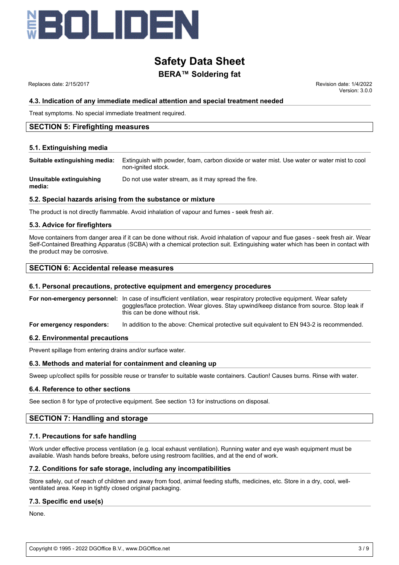

Replaces date: 2/15/2017 **Replaces** date: 1/4/2022

Version: 3.0.0

#### **4.3. Indication of any immediate medical attention and special treatment needed**

Treat symptoms. No special immediate treatment required.

### **SECTION 5: Firefighting measures**

#### **5.1. Extinguishing media**

**Suitable extinguishing media:** Extinguish with powder, foam, carbon dioxide or water mist. Use water or water mist to cool non-ignited stock.

**Unsuitable extinguishing** Do not use water stream, as it may spread the fire.

**media:**

#### **5.2. Special hazards arising from the substance or mixture**

The product is not directly flammable. Avoid inhalation of vapour and fumes - seek fresh air.

#### **5.3. Advice for firefighters**

Move containers from danger area if it can be done without risk. Avoid inhalation of vapour and flue gases - seek fresh air. Wear Self-Contained Breathing Apparatus (SCBA) with a chemical protection suit. Extinguishing water which has been in contact with the product may be corrosive.

## **SECTION 6: Accidental release measures**

#### **6.1. Personal precautions, protective equipment and emergency procedures**

**For non-emergency personnel:** In case of insufficient ventilation, wear respiratory protective equipment. Wear safety goggles/face protection. Wear gloves. Stay upwind/keep distance from source. Stop leak if this can be done without risk.

**For emergency responders:** In addition to the above: Chemical protective suit equivalent to EN 943-2 is recommended.

#### **6.2. Environmental precautions**

Prevent spillage from entering drains and/or surface water.

#### **6.3. Methods and material for containment and cleaning up**

Sweep up/collect spills for possible reuse or transfer to suitable waste containers. Caution! Causes burns. Rinse with water.

#### **6.4. Reference to other sections**

See section 8 for type of protective equipment. See section 13 for instructions on disposal.

## **SECTION 7: Handling and storage**

#### **7.1. Precautions for safe handling**

Work under effective process ventilation (e.g. local exhaust ventilation). Running water and eye wash equipment must be available. Wash hands before breaks, before using restroom facilities, and at the end of work.

#### **7.2. Conditions for safe storage, including any incompatibilities**

Store safely, out of reach of children and away from food, animal feeding stuffs, medicines, etc. Store in a dry, cool, wellventilated area. Keep in tightly closed original packaging.

## **7.3. Specific end use(s)**

None.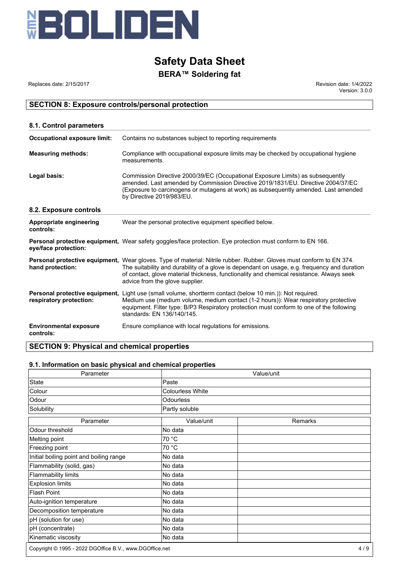

# **BERA™ Soldering fat**

Replaces date: 2/15/2017 **Replaces** date: 1/4/2022 Version: 3.0.0

# **SECTION 8: Exposure controls/personal protection**

| 8.1. Control parameters                    |                                                                                                                                                                                                                                                                                                                                                            |
|--------------------------------------------|------------------------------------------------------------------------------------------------------------------------------------------------------------------------------------------------------------------------------------------------------------------------------------------------------------------------------------------------------------|
| <b>Occupational exposure limit:</b>        | Contains no substances subject to reporting requirements                                                                                                                                                                                                                                                                                                   |
| <b>Measuring methods:</b>                  | Compliance with occupational exposure limits may be checked by occupational hygiene<br>measurements.                                                                                                                                                                                                                                                       |
| Legal basis:                               | Commission Directive 2000/39/EC (Occupational Exposure Limits) as subsequently<br>amended. Last amended by Commission Directive 2019/1831/EU. Directive 2004/37/EC<br>(Exposure to carcinogens or mutagens at work) as subsequently amended. Last amended<br>by Directive 2019/983/EU.                                                                     |
| 8.2. Exposure controls                     |                                                                                                                                                                                                                                                                                                                                                            |
| Appropriate engineering<br>controls:       | Wear the personal protective equipment specified below.                                                                                                                                                                                                                                                                                                    |
| eye/face protection:                       | <b>Personal protective equipment,</b> Wear safety goggles/face protection. Eye protection must conform to EN 166.                                                                                                                                                                                                                                          |
| hand protection:                           | <b>Personal protective equipment.</b> Wear gloves. Type of material: Nitrile rubber. Rubber. Gloves must conform to EN 374.<br>The suitability and durability of a glove is dependant on usage, e.g. frequency and duration<br>of contact, glove material thickness, functionality and chemical resistance. Always seek<br>advice from the glove supplier. |
| respiratory protection:                    | Personal protective equipment, Light use (small volume, shortterm contact (below 10 min.)): Not required.<br>Medium use (medium volume, medium contact (1-2 hours)): Wear respiratory protective<br>equipment. Filter type: B/P3 Respiratory protection must conform to one of the following<br>standards: EN 136/140/145.                                 |
| <b>Environmental exposure</b><br>controls: | Ensure compliance with local regulations for emissions.                                                                                                                                                                                                                                                                                                    |

# **SECTION 9: Physical and chemical properties**

# **9.1. Information on basic physical and chemical properties**

| Parameter                                               | Value/unit       |         |  |
|---------------------------------------------------------|------------------|---------|--|
| State                                                   | Paste            |         |  |
| Colour                                                  | Colourless White |         |  |
| Odour                                                   | Odourless        |         |  |
| Solubility                                              | Partly soluble   |         |  |
| Parameter                                               | Value/unit       | Remarks |  |
| Odour threshold                                         | No data          |         |  |
| Melting point                                           | 70 °C            |         |  |
| Freezing point                                          | 70 °C            |         |  |
| Initial boiling point and boiling range                 | No data          |         |  |
| Flammability (solid, gas)                               | No data          |         |  |
| Flammability limits                                     | No data          |         |  |
| <b>Explosion limits</b>                                 | No data          |         |  |
| <b>Flash Point</b>                                      | No data          |         |  |
| Auto-ignition temperature                               | No data          |         |  |
| Decomposition temperature                               | No data          |         |  |
| pH (solution for use)                                   | No data          |         |  |
| pH (concentrate)                                        | No data          |         |  |
| Kinematic viscosity                                     | No data          |         |  |
| Copyright © 1995 - 2022 DGOffice B.V., www.DGOffice.net |                  | 4/9     |  |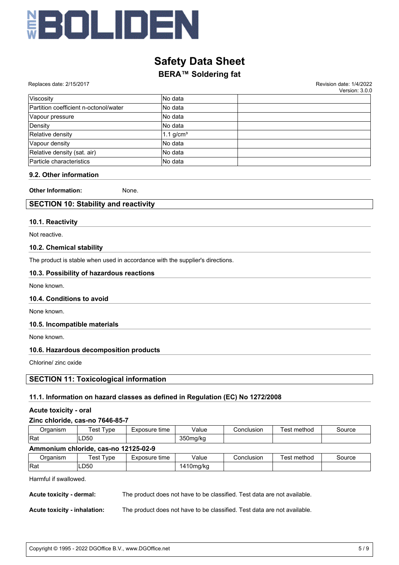

# **BERA™ Soldering fat**

|  |  | Replaces date: 2/15/2017 |
|--|--|--------------------------|
|--|--|--------------------------|

Revision date: 1/4/2022 Version: 3.0.0

| Viscositv                             | No data     |  |
|---------------------------------------|-------------|--|
| Partition coefficient n-octonol/water | INo data    |  |
| Vapour pressure                       | INo data    |  |
| Density                               | No data     |  |
| Relative density                      | 1.1 $g/cm3$ |  |
| Vapour density                        | No data     |  |
| Relative density (sat. air)           | No data     |  |
| Particle characteristics              | No data     |  |

#### **9.2. Other information**

**Other Information:** None.

# **SECTION 10: Stability and reactivity**

#### **10.1. Reactivity**

Not reactive.

#### **10.2. Chemical stability**

The product is stable when used in accordance with the supplier's directions.

## **10.3. Possibility of hazardous reactions**

None known.

#### **10.4. Conditions to avoid**

None known.

#### **10.5. Incompatible materials**

None known.

## **10.6. Hazardous decomposition products**

Chlorine/ zinc oxide

# **SECTION 11: Toxicological information**

## **11.1. Information on hazard classes as defined in Regulation (EC) No 1272/2008**

#### **Acute toxicity - oral**

#### **Zinc chloride, cas-no 7646-85-7**

| Organism                             | Test Type | Exposure time | Value     | Conclusion | Test method | Source |
|--------------------------------------|-----------|---------------|-----------|------------|-------------|--------|
| <b>IRat</b>                          | LD50      |               | 350 mg/kg |            |             |        |
| Ammonium chloride, cas-no 12125-02-9 |           |               |           |            |             |        |
| Organism                             | Test Type | Exposure time | Value     | Conclusion | Test method | Source |
| <b>IRat</b>                          | LD50      |               | 1410mg/kg |            |             |        |

Harmful if swallowed.

**Acute toxicity - dermal:** The product does not have to be classified. Test data are not available.

**Acute toxicity - inhalation:** The product does not have to be classified. Test data are not available.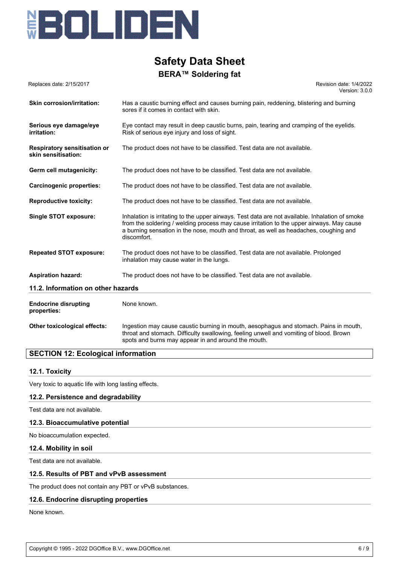

| Replaces date: 2/15/2017                                   | Revision date: 1/4/2022<br>Version: 3.0.0                                                                                                                                                                                                                                                            |
|------------------------------------------------------------|------------------------------------------------------------------------------------------------------------------------------------------------------------------------------------------------------------------------------------------------------------------------------------------------------|
| <b>Skin corrosion/irritation:</b>                          | Has a caustic burning effect and causes burning pain, reddening, blistering and burning<br>sores if it comes in contact with skin.                                                                                                                                                                   |
| Serious eye damage/eye<br>irritation:                      | Eye contact may result in deep caustic burns, pain, tearing and cramping of the eyelids.<br>Risk of serious eye injury and loss of sight.                                                                                                                                                            |
| <b>Respiratory sensitisation or</b><br>skin sensitisation: | The product does not have to be classified. Test data are not available.                                                                                                                                                                                                                             |
| Germ cell mutagenicity:                                    | The product does not have to be classified. Test data are not available.                                                                                                                                                                                                                             |
| <b>Carcinogenic properties:</b>                            | The product does not have to be classified. Test data are not available.                                                                                                                                                                                                                             |
| <b>Reproductive toxicity:</b>                              | The product does not have to be classified. Test data are not available.                                                                                                                                                                                                                             |
| <b>Single STOT exposure:</b>                               | Inhalation is irritating to the upper airways. Test data are not available. Inhalation of smoke<br>from the soldering / welding process may cause irritation to the upper airways. May cause<br>a burning sensation in the nose, mouth and throat, as well as headaches, coughing and<br>discomfort. |
| <b>Repeated STOT exposure:</b>                             | The product does not have to be classified. Test data are not available. Prolonged<br>inhalation may cause water in the lungs.                                                                                                                                                                       |
| <b>Aspiration hazard:</b>                                  | The product does not have to be classified. Test data are not available.                                                                                                                                                                                                                             |
| 11.2. Information on other hazards                         |                                                                                                                                                                                                                                                                                                      |
| <b>Endocrine disrupting</b><br>properties:                 | None known.                                                                                                                                                                                                                                                                                          |
| Other toxicological effects:                               | Ingestion may cause caustic burning in mouth, aesophagus and stomach. Pains in mouth,<br>throat and stomach. Difficulty swallowing, feeling unwell and vomiting of blood. Brown<br>spots and burns may appear in and around the mouth.                                                               |

# **SECTION 12: Ecological information**

#### **12.1. Toxicity**

Very toxic to aquatic life with long lasting effects.

#### **12.2. Persistence and degradability**

Test data are not available.

#### **12.3. Bioaccumulative potential**

No bioaccumulation expected.

#### **12.4. Mobility in soil**

Test data are not available.

### **12.5. Results of PBT and vPvB assessment**

The product does not contain any PBT or vPvB substances.

#### **12.6. Endocrine disrupting properties**

None known.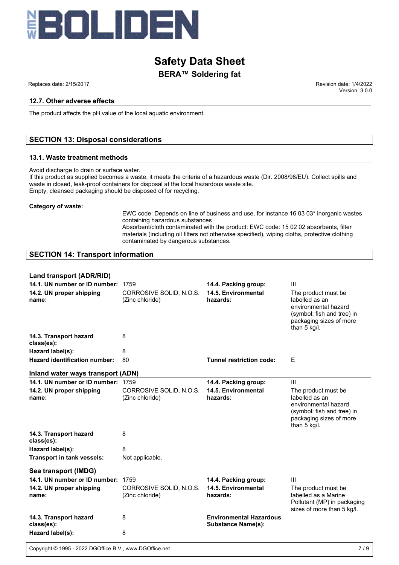

Replaces date: 2/15/2017 Revision date: 1/4/2022

#### **12.7. Other adverse effects**

The product affects the pH value of the local aquatic environment.

# **SECTION 13: Disposal considerations**

#### **13.1. Waste treatment methods**

Avoid discharge to drain or surface water.

If this product as supplied becomes a waste, it meets the criteria of a hazardous waste (Dir. 2008/98/EU). Collect spills and waste in closed, leak-proof containers for disposal at the local hazardous waste site. Empty, cleansed packaging should be disposed of for recycling.

#### **Category of waste:**

EWC code: Depends on line of business and use, for instance 16 03 03\* inorganic wastes containing hazardous substances Absorbent/cloth contaminated with the product: EWC code: 15 02 02 absorbents, filter

materials (including oil filters not otherwise specified), wiping cloths, protective clothing contaminated by dangerous substances.

#### **SECTION 14: Transport information**

#### **Land transport (ADR/RID)**

| 14.1. UN number or ID number:        | 1759                                       | 14.4. Packing group:                                        | $\mathbf{III}$                                                                                                                          |
|--------------------------------------|--------------------------------------------|-------------------------------------------------------------|-----------------------------------------------------------------------------------------------------------------------------------------|
| 14.2. UN proper shipping<br>name:    | CORROSIVE SOLID, N.O.S.<br>(Zinc chloride) | 14.5. Environmental<br>hazards:                             | The product must be.<br>labelled as an<br>environmental hazard<br>(symbol: fish and tree) in<br>packaging sizes of more<br>than 5 kg/l. |
| 14.3. Transport hazard<br>class(es): | 8                                          |                                                             |                                                                                                                                         |
| Hazard label(s):                     | 8                                          |                                                             |                                                                                                                                         |
| Hazard identification number:        | 80                                         | <b>Tunnel restriction code:</b>                             | E                                                                                                                                       |
| Inland water ways transport (ADN)    |                                            |                                                             |                                                                                                                                         |
| 14.1. UN number or ID number: 1759   |                                            | 14.4. Packing group:                                        | III                                                                                                                                     |
| 14.2. UN proper shipping<br>name:    | CORROSIVE SOLID, N.O.S.<br>(Zinc chloride) | 14.5. Environmental<br>hazards:                             | The product must be<br>labelled as an<br>environmental hazard<br>(symbol: fish and tree) in<br>packaging sizes of more<br>than 5 kg/l.  |
| 14.3. Transport hazard<br>class(es): | 8                                          |                                                             |                                                                                                                                         |
| Hazard label(s):                     | 8                                          |                                                             |                                                                                                                                         |
| Transport in tank vessels:           | Not applicable.                            |                                                             |                                                                                                                                         |
| Sea transport (IMDG)                 |                                            |                                                             |                                                                                                                                         |
| 14.1. UN number or ID number:        | 1759                                       | 14.4. Packing group:                                        | $\mathbf{III}$                                                                                                                          |
| 14.2. UN proper shipping<br>name:    | CORROSIVE SOLID, N.O.S.<br>(Zinc chloride) | 14.5. Environmental<br>hazards:                             | The product must be.<br>labelled as a Marine<br>Pollutant (MP) in packaging<br>sizes of more than 5 kg/l.                               |
| 14.3. Transport hazard<br>class(es): | 8                                          | <b>Environmental Hazardous</b><br><b>Substance Name(s):</b> |                                                                                                                                         |
| Hazard label(s):                     | 8                                          |                                                             |                                                                                                                                         |
|                                      |                                            |                                                             |                                                                                                                                         |

Version: 3.0.0

Copyright © 1995 - 2022 DGOffice B.V., www.DGOffice.net 7 / 9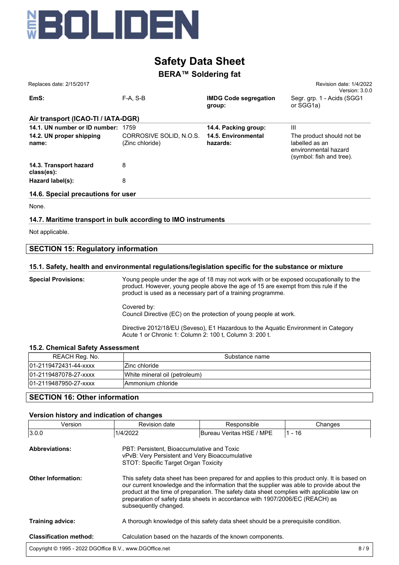

# **BERA™ Soldering fat**

| Replaces date: 2/15/2017             |                                            |                                        | Revision date: 1/4/2022<br>Version: 3.0.0                                                        |
|--------------------------------------|--------------------------------------------|----------------------------------------|--------------------------------------------------------------------------------------------------|
| EmS:                                 | $F-A. S-B$                                 | <b>IMDG Code segregation</b><br>group: | Segr. grp. 1 - Acids (SGG1<br>or SGG1a)                                                          |
| Air transport (ICAO-TI / IATA-DGR)   |                                            |                                        |                                                                                                  |
| 14.1. UN number or ID number: 1759   |                                            | 14.4. Packing group:                   | $\mathbf{III}$                                                                                   |
| 14.2. UN proper shipping<br>name:    | CORROSIVE SOLID, N.O.S.<br>(Zinc chloride) | 14.5. Environmental<br>hazards:        | The product should not be.<br>labelled as an<br>environmental hazard<br>(symbol: fish and tree). |
| 14.3. Transport hazard<br>class(es): | 8                                          |                                        |                                                                                                  |
| Hazard label(s):                     | 8                                          |                                        |                                                                                                  |
| 14.6. Special precautions for user   |                                            |                                        |                                                                                                  |

None.

# **14.7. Maritime transport in bulk according to IMO instruments**

Not applicable.

# **SECTION 15: Regulatory information**

#### **15.1. Safety, health and environmental regulations/legislation specific for the substance or mixture**

**Special Provisions:** Young people under the age of 18 may not work with or be exposed occupationally to the product. However, young people above the age of 15 are exempt from this rule if the product is used as a necessary part of a training programme. Covered by: Council Directive (EC) on the protection of young people at work. Directive 2012/18/EU (Seveso), E1 Hazardous to the Aquatic Environment in Category

Acute 1 or Chronic 1: Column 2: 100 t, Column 3: 200 t.

#### **15.2. Chemical Safety Assessment**

| REACH Reg. No.        | Substance name                |
|-----------------------|-------------------------------|
| 01-2119472431-44-xxxx | IZinc chloride                |
| 01-2119487078-27-xxxx | White mineral oil (petroleum) |
| 01-2119487950-27-xxxx | Ammonium chloride             |
|                       |                               |

# **SECTION 16: Other information**

#### **Version history and indication of changes**

| Version                                                 | Revision date         | Responsible                                                                                                                                                                                                                                                                                                                                                             | Changes  |  |  |  |
|---------------------------------------------------------|-----------------------|-------------------------------------------------------------------------------------------------------------------------------------------------------------------------------------------------------------------------------------------------------------------------------------------------------------------------------------------------------------------------|----------|--|--|--|
| 3.0.0                                                   | 1/4/2022              | Bureau Veritas HSE / MPE                                                                                                                                                                                                                                                                                                                                                | $1 - 16$ |  |  |  |
| <b>Abbreviations:</b>                                   |                       | PBT: Persistent, Bioaccumulative and Toxic<br>vPvB: Very Persistent and Very Bioaccumulative<br>STOT: Specific Target Organ Toxicity                                                                                                                                                                                                                                    |          |  |  |  |
| <b>Other Information:</b>                               | subsequently changed. | This safety data sheet has been prepared for and applies to this product only. It is based on<br>our current knowledge and the information that the supplier was able to provide about the<br>product at the time of preparation. The safety data sheet complies with applicable law on<br>preparation of safety data sheets in accordance with 1907/2006/EC (REACH) as |          |  |  |  |
| <b>Training advice:</b>                                 |                       | A thorough knowledge of this safety data sheet should be a prerequisite condition.                                                                                                                                                                                                                                                                                      |          |  |  |  |
| <b>Classification method:</b>                           |                       | Calculation based on the hazards of the known components.                                                                                                                                                                                                                                                                                                               |          |  |  |  |
| Copyright © 1995 - 2022 DGOffice B.V., www.DGOffice.net |                       |                                                                                                                                                                                                                                                                                                                                                                         | 8/9      |  |  |  |